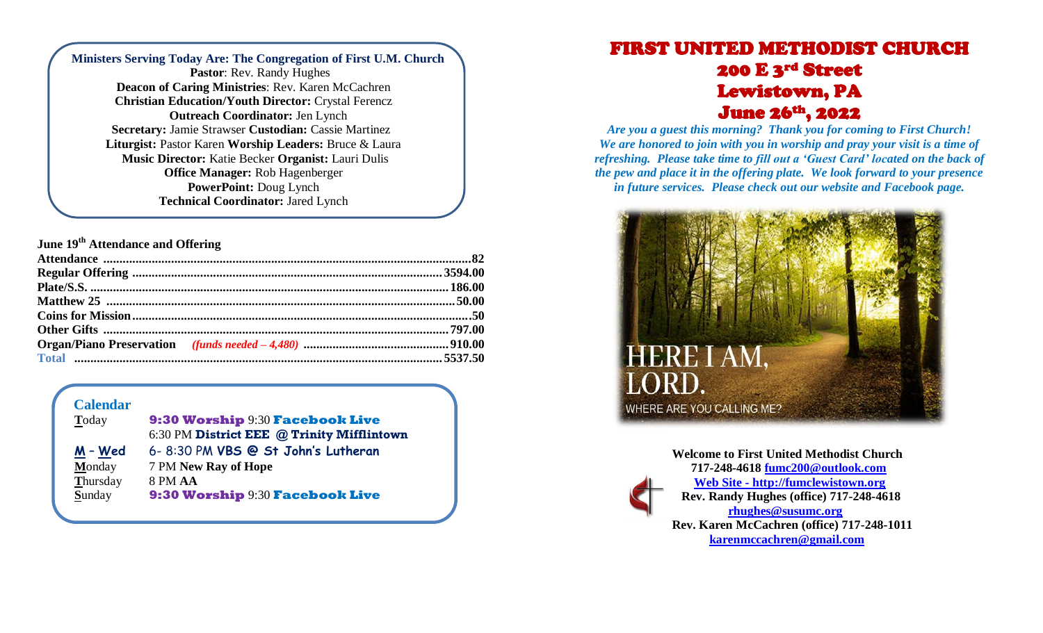| Ministers Serving Today Are: The Congregation of First U.M. Church |
|--------------------------------------------------------------------|
| Pastor: Rev. Randy Hughes                                          |
| Deacon of Caring Ministries: Rev. Karen McCachren                  |
| <b>Christian Education/Youth Director: Crystal Ferencz</b>         |
| <b>Outreach Coordinator: Jen Lynch</b>                             |
| <b>Secretary: Jamie Strawser Custodian: Cassie Martinez</b>        |
| <b>Liturgist:</b> Pastor Karen Worship Leaders: Bruce & Laura      |
| Music Director: Katie Becker Organist: Lauri Dulis                 |
| <b>Office Manager: Rob Hagenberger</b>                             |
| PowerPoint: Doug Lynch                                             |
| <b>Technical Coordinator: Jared Lynch</b>                          |
|                                                                    |

**June 19th Attendance and Offering**

## **Calendar**

| Today    | 9:30 Worship 9:30 Facebook Live            |
|----------|--------------------------------------------|
|          | 6:30 PM District EEE @ Trinity Mifflintown |
| M - Wed  | 6-8:30 PM VBS @ St John's Lutheran         |
| Monday   | 7 PM New Ray of Hope                       |
| Thursday | 8 PM AA                                    |
| Sunday   | 9:30 Worship 9:30 Facebook Live            |
|          |                                            |

## FIRST UNITED METHODIST CHURCH 200 E 3rd Street Lewistown, PA June 26th, 2022

*Are you a guest this morning? Thank you for coming to First Church! We are honored to join with you in worship and pray your visit is a time of refreshing. Please take time to fill out a 'Guest Card' located on the back of the pew and place it in the offering plate. We look forward to your presence in future services. Please check out our website and Facebook page.*



**Welcome to First United Methodist Church 717-248-4618 [fumc200@outlook.com](mailto:fumc200@outlook.com) Web Site - http://fumclewistown.org Rev. Randy Hughes (office) 717-248-4618 [rhughes@susumc.org](mailto:rhughes@susumc.org) Rev. Karen McCachren (office) 717-248-1011 [karenmccachren@gmail.com](mailto:karenmccachren@gmail.com)**